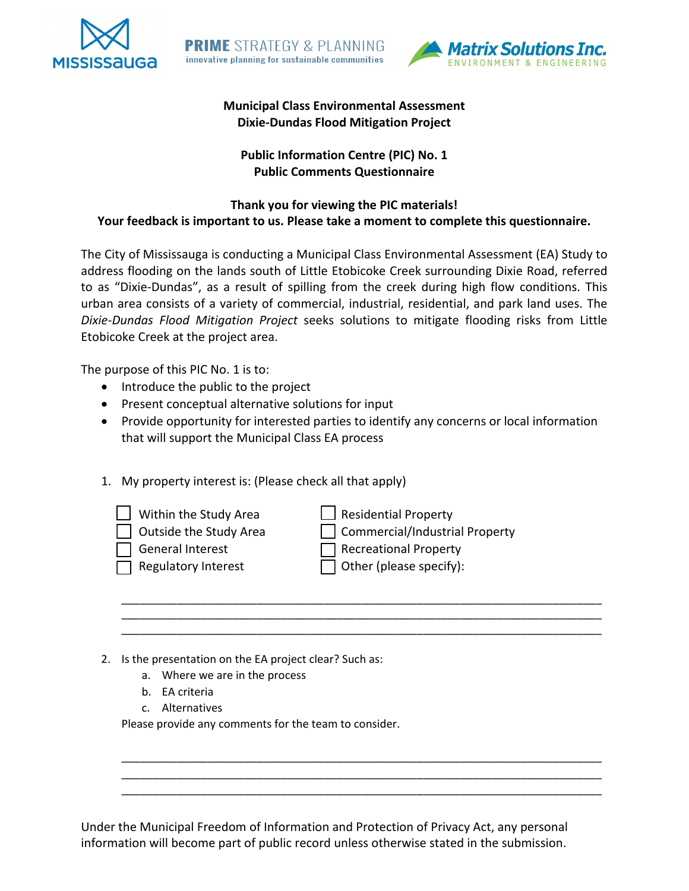



## **Municipal Class Environmental Assessment Dixie-Dundas Flood Mitigation Project**

# **Public Information Centre (PIC) No. 1 Public Comments Questionnaire**

### **Thank you for viewing the PIC materials! Your feedback is important to us. Please take a moment to complete this questionnaire.**

The City of Mississauga is conducting a Municipal Class Environmental Assessment (EA) Study to address flooding on the lands south of Little Etobicoke Creek surrounding Dixie Road, referred to as "Dixie-Dundas", as a result of spilling from the creek during high flow conditions. This urban area consists of a variety of commercial, industrial, residential, and park land uses. The *Dixie-Dundas Flood Mitigation Project* seeks solutions to mitigate flooding risks from Little Etobicoke Creek at the project area.

The purpose of this PIC No. 1 is to:

- Introduce the public to the project
- Present conceptual alternative solutions for input
- Provide opportunity for interested parties to identify any concerns or local information that will support the Municipal Class EA process

\_\_\_\_\_\_\_\_\_\_\_\_\_\_\_\_\_\_\_\_\_\_\_\_\_\_\_\_\_\_\_\_\_\_\_\_\_\_\_\_\_\_\_\_\_\_\_\_\_\_\_\_\_\_\_\_\_\_\_\_\_\_\_\_\_\_\_\_\_\_\_\_\_\_\_\_\_\_ \_\_\_\_\_\_\_\_\_\_\_\_\_\_\_\_\_\_\_\_\_\_\_\_\_\_\_\_\_\_\_\_\_\_\_\_\_\_\_\_\_\_\_\_\_\_\_\_\_\_\_\_\_\_\_\_\_\_\_\_\_\_\_\_\_\_\_\_\_\_\_\_\_\_\_\_\_\_ \_\_\_\_\_\_\_\_\_\_\_\_\_\_\_\_\_\_\_\_\_\_\_\_\_\_\_\_\_\_\_\_\_\_\_\_\_\_\_\_\_\_\_\_\_\_\_\_\_\_\_\_\_\_\_\_\_\_\_\_\_\_\_\_\_\_\_\_\_\_\_\_\_\_\_\_\_\_

\_\_\_\_\_\_\_\_\_\_\_\_\_\_\_\_\_\_\_\_\_\_\_\_\_\_\_\_\_\_\_\_\_\_\_\_\_\_\_\_\_\_\_\_\_\_\_\_\_\_\_\_\_\_\_\_\_\_\_\_\_\_\_\_\_\_\_\_\_\_\_\_\_\_\_\_\_\_ \_\_\_\_\_\_\_\_\_\_\_\_\_\_\_\_\_\_\_\_\_\_\_\_\_\_\_\_\_\_\_\_\_\_\_\_\_\_\_\_\_\_\_\_\_\_\_\_\_\_\_\_\_\_\_\_\_\_\_\_\_\_\_\_\_\_\_\_\_\_\_\_\_\_\_\_\_\_ \_\_\_\_\_\_\_\_\_\_\_\_\_\_\_\_\_\_\_\_\_\_\_\_\_\_\_\_\_\_\_\_\_\_\_\_\_\_\_\_\_\_\_\_\_\_\_\_\_\_\_\_\_\_\_\_\_\_\_\_\_\_\_\_\_\_\_\_\_\_\_\_\_\_\_\_\_\_

1. My property interest is: (Please check all that apply)

- $\Box$  Within the Study Area  $\Box$  Residential Property
- 
- General Interest **Recreational Property**
- 
- □ Outside the Study Area □ Commercial/Industrial Property  $\Box$  Regulatory Interest  $\Box$  Other (please specify):
- 2. Is the presentation on the EA project clear? Such as:
	- a. Where we are in the process
	- b. EA criteria
	- c. Alternatives

Please provide any comments for the team to consider.

Under the Municipal Freedom of Information and Protection of Privacy Act, any personal information will become part of public record unless otherwise stated in the submission.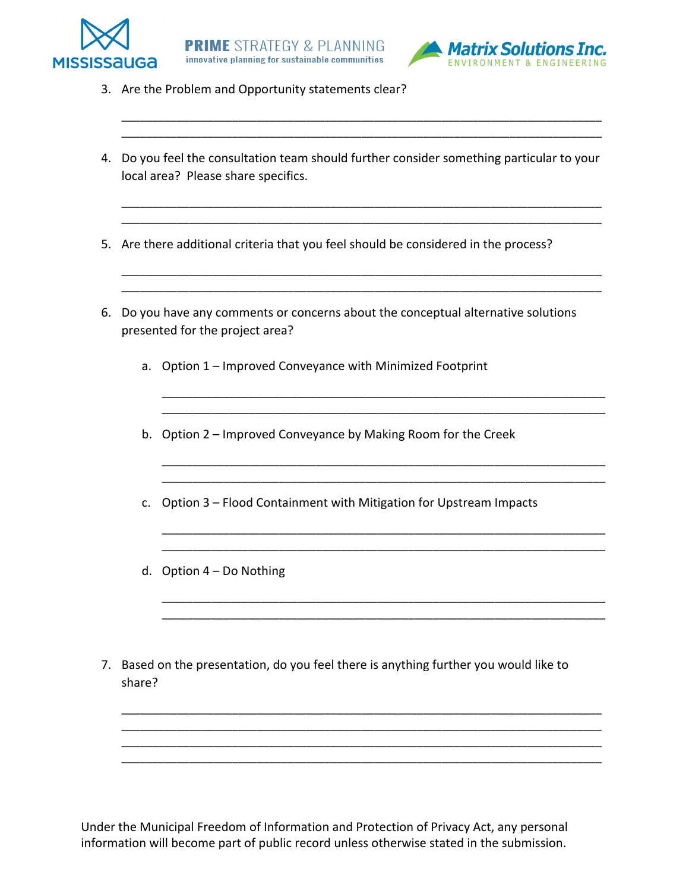



- 3. Are the Problem and Opportunity statements clear?
- 4. Do you feel the consultation team should further consider something particular to your local area? Please share specifics.

\_\_\_\_\_\_\_\_\_\_\_\_\_\_\_\_\_\_\_\_\_\_\_\_\_\_\_\_\_\_\_\_\_\_\_\_\_\_\_\_\_\_\_\_\_\_\_\_\_\_\_\_\_\_\_\_\_\_\_\_\_\_\_\_\_\_\_\_\_\_\_\_\_\_\_\_\_\_ \_\_\_\_\_\_\_\_\_\_\_\_\_\_\_\_\_\_\_\_\_\_\_\_\_\_\_\_\_\_\_\_\_\_\_\_\_\_\_\_\_\_\_\_\_\_\_\_\_\_\_\_\_\_\_\_\_\_\_\_\_\_\_\_\_\_\_\_\_\_\_\_\_\_\_\_\_\_

\_\_\_\_\_\_\_\_\_\_\_\_\_\_\_\_\_\_\_\_\_\_\_\_\_\_\_\_\_\_\_\_\_\_\_\_\_\_\_\_\_\_\_\_\_\_\_\_\_\_\_\_\_\_\_\_\_\_\_\_\_\_\_\_\_\_\_\_\_\_\_\_\_\_\_\_\_\_ \_\_\_\_\_\_\_\_\_\_\_\_\_\_\_\_\_\_\_\_\_\_\_\_\_\_\_\_\_\_\_\_\_\_\_\_\_\_\_\_\_\_\_\_\_\_\_\_\_\_\_\_\_\_\_\_\_\_\_\_\_\_\_\_\_\_\_\_\_\_\_\_\_\_\_\_\_\_

\_\_\_\_\_\_\_\_\_\_\_\_\_\_\_\_\_\_\_\_\_\_\_\_\_\_\_\_\_\_\_\_\_\_\_\_\_\_\_\_\_\_\_\_\_\_\_\_\_\_\_\_\_\_\_\_\_\_\_\_\_\_\_\_\_\_\_\_\_\_\_\_\_\_\_\_\_\_ \_\_\_\_\_\_\_\_\_\_\_\_\_\_\_\_\_\_\_\_\_\_\_\_\_\_\_\_\_\_\_\_\_\_\_\_\_\_\_\_\_\_\_\_\_\_\_\_\_\_\_\_\_\_\_\_\_\_\_\_\_\_\_\_\_\_\_\_\_\_\_\_\_\_\_\_\_\_

\_\_\_\_\_\_\_\_\_\_\_\_\_\_\_\_\_\_\_\_\_\_\_\_\_\_\_\_\_\_\_\_\_\_\_\_\_\_\_\_\_\_\_\_\_\_\_\_\_\_\_\_\_\_\_\_\_\_\_\_\_\_\_\_\_\_\_\_\_\_\_\_

\_\_\_\_\_\_\_\_\_\_\_\_\_\_\_\_\_\_\_\_\_\_\_\_\_\_\_\_\_\_\_\_\_\_\_\_\_\_\_\_\_\_\_\_\_\_\_\_\_\_\_\_\_\_\_\_\_\_\_\_\_\_\_\_\_\_\_\_\_\_\_\_ \_\_\_\_\_\_\_\_\_\_\_\_\_\_\_\_\_\_\_\_\_\_\_\_\_\_\_\_\_\_\_\_\_\_\_\_\_\_\_\_\_\_\_\_\_\_\_\_\_\_\_\_\_\_\_\_\_\_\_\_\_\_\_\_\_\_\_\_\_\_\_\_

\_\_\_\_\_\_\_\_\_\_\_\_\_\_\_\_\_\_\_\_\_\_\_\_\_\_\_\_\_\_\_\_\_\_\_\_\_\_\_\_\_\_\_\_\_\_\_\_\_\_\_\_\_\_\_\_\_\_\_\_\_\_\_\_\_\_\_\_\_\_\_\_ \_\_\_\_\_\_\_\_\_\_\_\_\_\_\_\_\_\_\_\_\_\_\_\_\_\_\_\_\_\_\_\_\_\_\_\_\_\_\_\_\_\_\_\_\_\_\_\_\_\_\_\_\_\_\_\_\_\_\_\_\_\_\_\_\_\_\_\_\_\_\_\_

\_\_\_\_\_\_\_\_\_\_\_\_\_\_\_\_\_\_\_\_\_\_\_\_\_\_\_\_\_\_\_\_\_\_\_\_\_\_\_\_\_\_\_\_\_\_\_\_\_\_\_\_\_\_\_\_\_\_\_\_\_\_\_\_\_\_\_\_\_\_\_\_ \_\_\_\_\_\_\_\_\_\_\_\_\_\_\_\_\_\_\_\_\_\_\_\_\_\_\_\_\_\_\_\_\_\_\_\_\_\_\_\_\_\_\_\_\_\_\_\_\_\_\_\_\_\_\_\_\_\_\_\_\_\_\_\_\_\_\_\_\_\_\_\_

- 5. Are there additional criteria that you feel should be considered in the process?
- 6. Do you have any comments or concerns about the conceptual alternative solutions presented for the project area?
	- a. Option 1 Improved Conveyance with Minimized Footprint
	- b. Option 2 Improved Conveyance by Making Room for the Creek
	- c. Option 3 Flood Containment with Mitigation for Upstream Impacts
	- d. Option 4 Do Nothing
- 7. Based on the presentation, do you feel there is anything further you would like to share?

\_\_\_\_\_\_\_\_\_\_\_\_\_\_\_\_\_\_\_\_\_\_\_\_\_\_\_\_\_\_\_\_\_\_\_\_\_\_\_\_\_\_\_\_\_\_\_\_\_\_\_\_\_\_\_\_\_\_\_\_\_\_\_\_\_\_\_\_\_\_\_\_\_\_\_\_\_\_ \_\_\_\_\_\_\_\_\_\_\_\_\_\_\_\_\_\_\_\_\_\_\_\_\_\_\_\_\_\_\_\_\_\_\_\_\_\_\_\_\_\_\_\_\_\_\_\_\_\_\_\_\_\_\_\_\_\_\_\_\_\_\_\_\_\_\_\_\_\_\_\_\_\_\_\_\_\_

\_\_\_\_\_\_\_\_\_\_\_\_\_\_\_\_\_\_\_\_\_\_\_\_\_\_\_\_\_\_\_\_\_\_\_\_\_\_\_\_\_\_\_\_\_\_\_\_\_\_\_\_\_\_\_\_\_\_\_\_\_\_\_\_\_\_\_\_\_\_\_\_\_\_\_\_\_\_

Under the Municipal Freedom of Information and Protection of Privacy Act, any personal information will become part of public record unless otherwise stated in the submission.